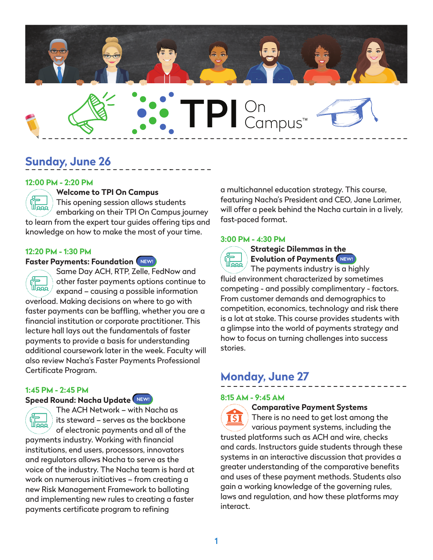

# **Sunday, June 26**

### **12:00 PM - 2:20 PM**



### **Welcome to TPI On Campus**

 $\left(\begin{matrix} 1 \\ 1 \\ 1 \\ 1 \end{matrix}\right)$ This opening session allows students embarking on their TPI On Campus journey to learn from the expert tour guides offering tips and knowledge on how to make the most of your time.

### **12:20 PM - 1:30 PM**

### **Faster Payments: Foundation**

Same Day ACH, RTP, Zelle, FedNow and other faster payments options continue to لل<del>مم</del>ع $\backslash$ expand – causing a possible information overload. Making decisions on where to go with faster payments can be baffling, whether you are a financial institution or corporate practitioner. This lecture hall lays out the fundamentals of faster payments to provide a basis for understanding additional coursework later in the week. Faculty will also review Nacha's Faster Payments Professional Certificate Program.

### **1:45 PM - 2:45 PM**

# **Speed Round: Nacha Update**

The ACH Network – with Nacha as **们** its steward – serves as the backbone of electronic payments and all of the payments industry. Working with financial institutions, end users, processors, innovators and regulators allows Nacha to serve as the voice of the industry. The Nacha team is hard at work on numerous initiatives – from creating a new Risk Management Framework to balloting and implementing new rules to creating a faster payments certificate program to refining

a multichannel education strategy. This course, featuring Nacha's President and CEO, Jane Larimer, will offer a peek behind the Nacha curtain in a lively, fast-paced format.

### **3:00 PM - 4:30 PM**



**Strategic Dilemmas in the Evolution of Payments**

The payments industry is  $\alpha$  highly fluid environment characterized by sometimes competing - and possibly complimentary - factors. From customer demands and demographics to competition, economics, technology and risk there is a lot at stake. This course provides students with a glimpse into the world of payments strategy and how to focus on turning challenges into success stories.

# **Monday, June 27**

### **8:15 AM - 9:45 AM**

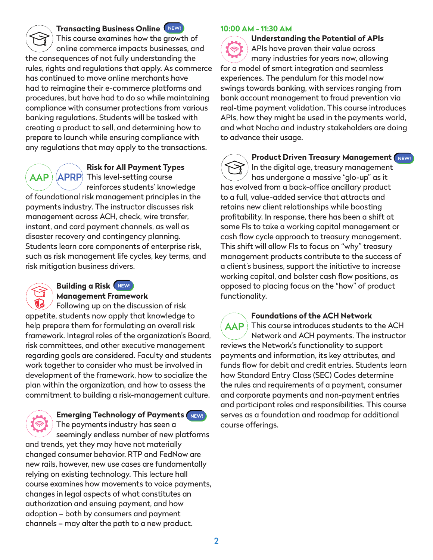**Transacting Business Online** This course examines how the growth of online commerce impacts businesses, and the consequences of not fully understanding the

rules, rights and regulations that apply. As commerce has continued to move online merchants have had to reimagine their e-commerce platforms and procedures, but have had to do so while maintaining compliance with consumer protections from various banking regulations. Students will be tasked with creating a product to sell, and determining how to prepare to launch while ensuring compliance with any regulations that may apply to the transactions.

 $\bm{\mathsf{A}\mathsf{A}\mathsf{P}}$  )

**Risk for All Payment Types**   $\langle$  APRP $\rangle$  This level-setting course

reinforces students' knowledge

of foundational risk management principles in the payments industry. The instructor discusses risk management across ACH, check, wire transfer, instant, and card payment channels, as well as disaster recovery and contingency planning. Students learn core components of enterprise risk, such as risk management life cycles, key terms, and risk mitigation business drivers.

# **Building a Risk**

# **Management Framework**

Following up on the discussion of risk appetite, students now apply that knowledge to help prepare them for formulating an overall risk framework. Integral roles of the organization's Board, risk committees, and other executive management regarding goals are considered. Faculty and students work together to consider who must be involved in development of the framework, how to socialize the plan within the organization, and how to assess the commitment to building a risk-management culture.

# **Emerging Technology of Payments**

The payments industry has seen a seemingly endless number of new platforms and trends, yet they may have not materially changed consumer behavior. RTP and FedNow are new rails, however, new use cases are fundamentally relying on existing technology. This lecture hall course examines how movements to voice payments, changes in legal aspects of what constitutes an authorization and ensuing payment, and how adoption – both by consumers and payment channels – may alter the path to a new product.

### **10:00 AM - 11:30 AM**

**Understanding the Potential of APIs** APIs have proven their value across many industries for years now, allowing for a model of smart integration and seamless experiences. The pendulum for this model now swings towards banking, with services ranging from bank account management to fraud prevention via real-time payment validation. This course introduces APIs, how they might be used in the payments world, and what Nacha and industry stakeholders are doing to advance their usage.

**Product Driven Treasury Management** NEW! In the digital age, treasury management has undergone a massive "glo-up" as it has evolved from a back-office ancillary product to a full, value-added service that attracts and retains new client relationships while boosting profitability. In response, there has been a shift at some FIs to take a working capital management or cash flow cycle approach to treasury management. This shift will allow FIs to focus on "why" treasury management products contribute to the success of a client's business, support the initiative to increase working capital, and bolster cash flow positions, as opposed to placing focus on the "how" of product functionality.

**Foundations of the ACH Network AAP** This course introduces students to the ACH Network and ACH payments. The instructor reviews the Network's functionality to support payments and information, its key attributes, and funds flow for debit and credit entries. Students learn how Standard Entry Class (SEC) Codes determine the rules and requirements of a payment, consumer and corporate payments and non-payment entries and participant roles and responsibilities. This course serves as a foundation and roadmap for additional course offerings.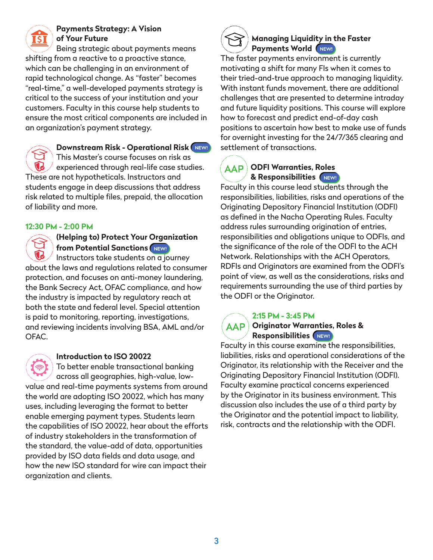

## **Payments Strategy: A Vision of Your Future**

Being strategic about payments means shifting from a reactive to a proactive stance, which can be challenging in an environment of rapid technological change. As "faster" becomes "real-time," a well-developed payments strategy is critical to the success of your institution and your customers. Faculty in this course help students to ensure the most critical components are included in an organization's payment strategy.

**Downstream Risk - Operational Risk** This Master's course focuses on risk as experienced through real-life case studies. These are not hypotheticals. Instructors and students engage in deep discussions that address risk related to multiple files, prepaid, the allocation of liability and more.

### **12:30 PM - 2:00 PM**

# **(Helping to) Protect Your Organization from Potential Sanctions**

Instructors take students on a journey about the laws and regulations related to consumer protection, and focuses on anti-money laundering, the Bank Secrecy Act, OFAC compliance, and how the industry is impacted by regulatory reach at both the state and federal level. Special attention is paid to monitoring, reporting, investigations, and reviewing incidents involving BSA, AML and/or OFAC.

### **Introduction to ISO 20022**

To better enable transactional banking across all geographies, high-value, lowvalue and real-time payments systems from around the world are adopting ISO 20022, which has many uses, including leveraging the format to better enable emerging payment types. Students learn the capabilities of ISO 20022, hear about the efforts of industry stakeholders in the transformation of the standard, the value-add of data, opportunities provided by ISO data fields and data usage, and how the new ISO standard for wire can impact their organization and clients.

# **Managing Liquidity in the Faster Payments World** (NEW!)

The faster payments environment is currently motivating a shift for many FIs when it comes to their tried-and-true approach to managing liquidity. With instant funds movement, there are additional challenges that are presented to determine intraday and future liquidity positions. This course will explore how to forecast and predict end-of-day cash positions to ascertain how best to make use of funds for overnight investing for the 24/7/365 clearing and settlement of transactions.

# **ODFI Warranties, Roles & Responsibilities**

Faculty in this course lead students through the responsibilities, liabilities, risks and operations of the Originating Depository Financial Institution (ODFI) as defined in the Nacha Operating Rules. Faculty address rules surrounding origination of entries, responsibilities and obligations unique to ODFIs, and the significance of the role of the ODFI to the ACH Network. Relationships with the ACH Operators, RDFIs and Originators are examined from the ODFI's point of view, as well as the considerations, risks and requirements surrounding the use of third parties by the ODFI or the Originator.

### **2:15 PM - 3:45 PM**

### $\overline{\sf AAP}$ **Originator Warranties, Roles & Responsibilities**

Faculty in this course examine the responsibilities, liabilities, risks and operational considerations of the Originator, its relationship with the Receiver and the Originating Depository Financial Institution (ODFI). Faculty examine practical concerns experienced by the Originator in its business environment. This discussion also includes the use of a third party by the Originator and the potential impact to liability, risk, contracts and the relationship with the ODFI.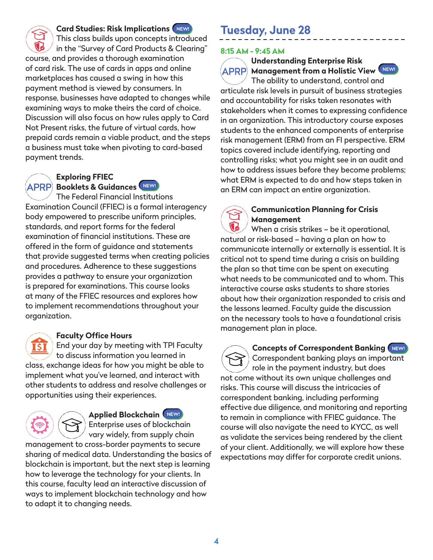

### **Card Studies: Risk Implications**

This class builds upon concepts introduced in the "Survey of Card Products & Clearing" course, and provides a thorough examination of card risk. The use of cards in apps and online marketplaces has caused a swing in how this payment method is viewed by consumers. In response, businesses have adapted to changes while examining ways to make theirs the card of choice. Discussion will also focus on how rules apply to Card Not Present risks, the future of virtual cards, how prepaid cards remain a viable product, and the steps a business must take when pivoting to card-based payment trends.



### **Exploring FFIEC Booklets & Guidances**

The Federal Financial Institutions Examination Council (FFIEC) is a formal interagency body empowered to prescribe uniform principles, standards, and report forms for the federal examination of financial institutions. These are offered in the form of guidance and statements that provide suggested terms when creating policies and procedures. Adherence to these suggestions provides a pathway to ensure your organization is prepared for examinations. This course looks at many of the FFIEC resources and explores how to implement recommendations throughout your organization.

### **Faculty Office Hours**

End your day by meeting with TPI Faculty IST to discuss information you learned in class, exchange ideas for how you might be able to implement what you've learned, and interact with other students to address and resolve challenges or opportunities using their experiences.

## **Applied Blockchain** Enterprise uses of blockchain

vary widely, from supply chain management to cross-border payments to secure sharing of medical data. Understanding the basics of blockchain is important, but the next step is learning how to leverage the technology for your clients. In this course, faculty lead an interactive discussion of ways to implement blockchain technology and how to adapt it to changing needs.

# **Tuesday, June 28**

### **8:15 AM - 9:45 AM**

# **Understanding Enterprise Risk APRP Management from a Holistic View MEW!**

The ability to understand, control and articulate risk levels in pursuit of business strategies and accountability for risks taken resonates with stakeholders when it comes to expressing confidence in an organization. This introductory course exposes students to the enhanced components of enterprise risk management (ERM) from an FI perspective. ERM topics covered include identifying, reporting and controlling risks; what you might see in an audit and how to address issues before they become problems; what ERM is expected to do and how steps taken in an ERM can impact an entire organization.

### **Communication Planning for Crisis Management**

When a crisis strikes – be it operational, natural or risk-based – having a plan on how to communicate internally or externally is essential. It is critical not to spend time during a crisis on building the plan so that time can be spent on executing what needs to be communicated and to whom. This interactive course asks students to share stories about how their organization responded to crisis and the lessons learned. Faculty guide the discussion on the necessary tools to have a foundational crisis management plan in place.

**Concepts of Correspondent Banking** NEW!

Correspondent banking plays an important role in the payment industry, but does not come without its own unique challenges and risks. This course will discuss the intricacies of correspondent banking, including performing effective due diligence, and monitoring and reporting to remain in compliance with FFIEC guidance. The course will also navigate the need to KYCC, as well as validate the services being rendered by the client of your client. Additionally, we will explore how these expectations may differ for corporate credit unions.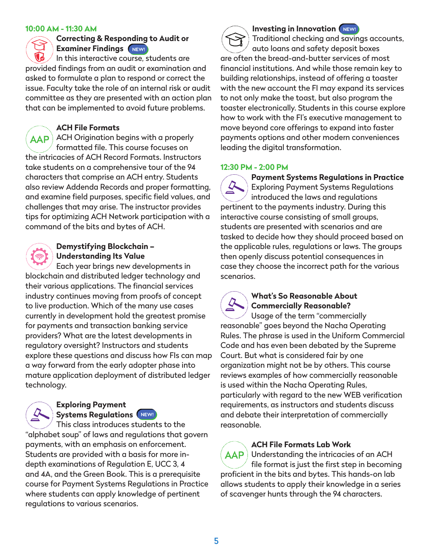### **10:00 AM - 11:30 AM**

**Correcting & Responding to Audit or Examiner Findings**

In this interactive course, students are provided findings from an audit or examination and asked to formulate a plan to respond or correct the issue. Faculty take the role of an internal risk or audit committee as they are presented with an action plan that can be implemented to avoid future problems.

### **ACH File Formats**

AAP ACH Origination begins with a properly formatted file. This course focuses on the intricacies of ACH Record Formats. Instructors take students on a comprehensive tour of the 94 characters that comprise an ACH entry. Students also review Addenda Records and proper formatting, and examine field purposes, specific field values, and challenges that may arise. The instructor provides tips for optimizing ACH Network participation with a command of the bits and bytes of ACH.

# **Demystifying Blockchain – Understanding Its Value**

Each year brings new developments in blockchain and distributed ledger technology and their various applications. The financial services industry continues moving from proofs of concept to live production. Which of the many use cases currently in development hold the greatest promise for payments and transaction banking service providers? What are the latest developments in regulatory oversight? Instructors and students explore these questions and discuss how FIs can map a way forward from the early adopter phase into mature application deployment of distributed ledger technology.

### **Exploring Payment Systems Regulations**

This class introduces students to the "alphabet soup" of laws and regulations that govern payments, with an emphasis on enforcement. Students are provided with a basis for more indepth examinations of Regulation E, UCC 3, 4 and 4A, and the Green Book. This is a prerequisite course for Payment Systems Regulations in Practice where students can apply knowledge of pertinent regulations to various scenarios.

**Investing in Innovation** (NEW! Traditional checking and savings accounts, auto loans and safety deposit boxes are often the bread-and-butter services of most financial institutions. And while those remain key to building relationships, instead of offering a toaster with the new account the FI may expand its services to not only make the toast, but also program the toaster electronically. Students in this course explore how to work with the FI's executive management to move beyond core offerings to expand into faster payments options and other modern conveniences leading the digital transformation.

### **12:30 PM - 2:00 PM**

**Payment Systems Regulations in Practice** Exploring Payment Systems Regulations introduced the laws and regulations pertinent to the payments industry. During this interactive course consisting of small groups, students are presented with scenarios and are tasked to decide how they should proceed based on the applicable rules, regulations or laws. The groups then openly discuss potential consequences in case they choose the incorrect path for the various scenarios.

### **What's So Reasonable About Commercially Reasonable?**

Usage of the term "commercially reasonable" goes beyond the Nacha Operating Rules. The phrase is used in the Uniform Commercial Code and has even been debated by the Supreme Court. But what is considered fair by one organization might not be by others. This course reviews examples of how commercially reasonable is used within the Nacha Operating Rules, particularly with regard to the new WEB verification requirements, as instructors and students discuss and debate their interpretation of commercially reasonable.

### **ACH File Formats Lab Work**

 $\overline{A}$ AP I Understanding the intricacies of an ACH file format is just the first step in becoming proficient in the bits and bytes. This hands-on lab allows students to apply their knowledge in a series of scavenger hunts through the 94 characters.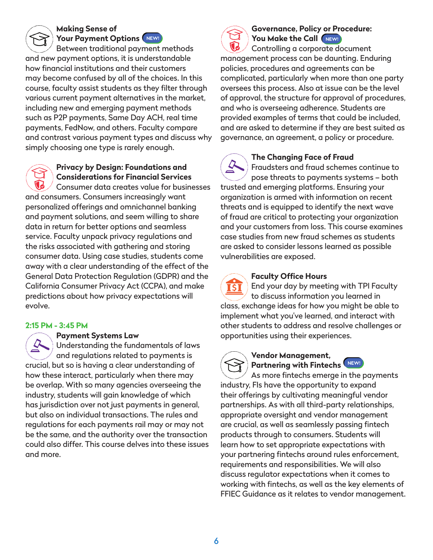### **Making Sense of Your Payment Options**

Between traditional payment methods and new payment options, it is understandable how financial institutions and their customers may become confused by all of the choices. In this course, faculty assist students as they filter through various current payment alternatives in the market, including new and emerging payment methods such as P2P payments, Same Day ACH, real time payments, FedNow, and others. Faculty compare and contrast various payment types and discuss why simply choosing one type is rarely enough.

# **Privacy by Design: Foundations and Considerations for Financial Services**

Consumer data creates value for businesses and consumers. Consumers increasingly want personalized offerings and omnichannel banking and payment solutions, and seem willing to share data in return for better options and seamless service. Faculty unpack privacy regulations and the risks associated with gathering and storing consumer data. Using case studies, students come away with a clear understanding of the effect of the General Data Protection Regulation (GDPR) and the California Consumer Privacy Act (CCPA), and make predictions about how privacy expectations will evolve.

# **2:15 PM - 3:45 PM**

### **Payment Systems Law**

Understanding the fundamentals of laws and regulations related to payments is crucial, but so is having a clear understanding of how these interact, particularly when there may be overlap. With so many agencies overseeing the industry, students will gain knowledge of which has jurisdiction over not just payments in general, but also on individual transactions. The rules and regulations for each payments rail may or may not be the same, and the authority over the transaction could also differ. This course delves into these issues and more.



# **Governance, Policy or Procedure:**  You Make the Call **NEWL**

Controlling a corporate document management process can be daunting. Enduring policies, procedures and agreements can be complicated, particularly when more than one party oversees this process. Also at issue can be the level of approval, the structure for approval of procedures, and who is overseeing adherence. Students are provided examples of terms that could be included, and are asked to determine if they are best suited as governance, an agreement, a policy or procedure.

**The Changing Face of Fraud**

Fraudsters and fraud schemes continue to pose threats to payments systems – both trusted and emerging platforms. Ensuring your organization is armed with information on recent threats and is equipped to identify the next wave of fraud are critical to protecting your organization and your customers from loss. This course examines case studies from new fraud schemes as students are asked to consider lessons learned as possible vulnerabilities are exposed.



# **Faculty Office Hours**

End your day by meeting with TPI Faculty to discuss information you learned in class, exchange ideas for how you might be able to implement what you've learned, and interact with other students to address and resolve challenges or opportunities using their experiences.



## **Vendor Management, Partnering with Fintechs**

As more fintechs emerge in the payments industry, FIs have the opportunity to expand their offerings by cultivating meaningful vendor partnerships. As with all third-party relationships, appropriate oversight and vendor management are crucial, as well as seamlessly passing fintech products through to consumers. Students will learn how to set appropriate expectations with your partnering fintechs around rules enforcement, requirements and responsibilities. We will also discuss regulator expectations when it comes to working with fintechs, as well as the key elements of FFIEC Guidance as it relates to vendor management.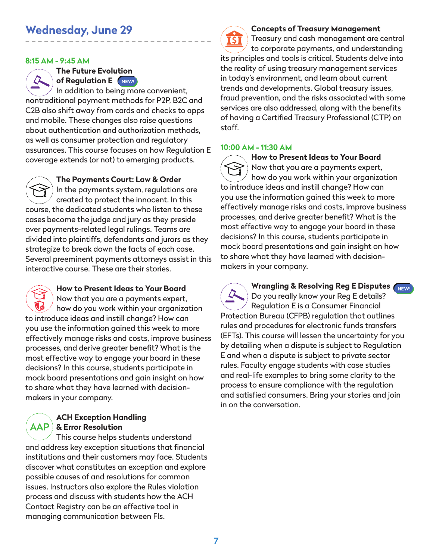### **8:15 AM - 9:45 AM**

**The Future Evolution of Regulation E** (NEW!)

In addition to being more convenient, nontraditional payment methods for P2P, B2C and C2B also shift away from cards and checks to apps and mobile. These changes also raise questions about authentication and authorization methods, as well as consumer protection and regulatory assurances. This course focuses on how Regulation E coverage extends (or not) to emerging products.

**The Payments Court: Law & Order** In the payments system, regulations are created to protect the innocent. In this course, the dedicated students who listen to these cases become the judge and jury as they preside over payments-related legal rulings. Teams are divided into plaintiffs, defendants and jurors as they strategize to break down the facts of each case. Several preeminent payments attorneys assist in this interactive course. These are their stories.



## **How to Present Ideas to Your Board**

Now that you are a payments expert, how do you work within your organization to introduce ideas and instill change? How can you use the information gained this week to more effectively manage risks and costs, improve business processes, and derive greater benefit? What is the most effective way to engage your board in these decisions? In this course, students participate in mock board presentations and gain insight on how to share what they have learned with decisionmakers in your company.

### **ACH Exception Handling & Error Resolution**

This course helps students understand and address key exception situations that financial institutions and their customers may face. Students discover what constitutes an exception and explore possible causes of and resolutions for common issues. Instructors also explore the Rules violation process and discuss with students how the ACH Contact Registry can be an effective tool in managing communication between FIs.

### **Concepts of Treasury Management**

Treasury and cash management are central **ISI** to corporate payments, and understanding its principles and tools is critical. Students delve into the reality of using treasury management services in today's environment, and learn about current trends and developments. Global treasury issues, fraud prevention, and the risks associated with some services are also addressed, along with the benefits of having a Certified Treasury Professional (CTP) on staff.

### **10:00 AM - 11:30 AM**

**How to Present Ideas to Your Board** Now that you are a payments expert, how do you work within your organization to introduce ideas and instill change? How can you use the information gained this week to more effectively manage risks and costs, improve business processes, and derive greater benefit? What is the most effective way to engage your board in these decisions? In this course, students participate in mock board presentations and gain insight on how to share what they have learned with decisionmakers in your company.

**Wrangling & Resolving Reg E Disputes** Do you really know your Reg E details? Regulation E is a Consumer Financial Protection Bureau (CFPB) regulation that outlines rules and procedures for electronic funds transfers (EFTs). This course will lessen the uncertainty for you by detailing when a dispute is subject to Regulation E and when a dispute is subject to private sector rules. Faculty engage students with case studies and real-life examples to bring some clarity to the process to ensure compliance with the regulation and satisfied consumers. Bring your stories and join in on the conversation.